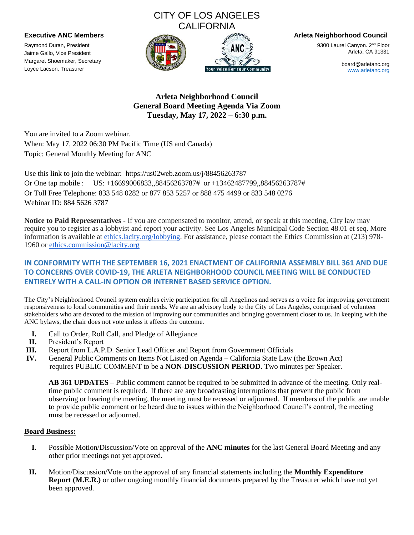# CITY OF LOS ANGELES CALIFORNIA



**Executive ANC Members Arleta Neighborhood Council**

9300 Laurel Canyon. 2<sup>nd</sup> Floor Arleta, CA 91331

> board@arletanc.org [www.arletanc.org](http://www.arletanc.org/)

## **Arleta Neighborhood Council General Board Meeting Agenda Via Zoom Tuesday, May 17, 2022 – 6:30 p.m.**

You are invited to a Zoom webinar. When: May 17, 2022 06:30 PM Pacific Time (US and Canada) Topic: General Monthly Meeting for ANC

Use this link to join the webinar: https://us02web.zoom.us/j/88456263787 Or One tap mobile : US: +16699006833,,88456263787# or +13462487799,,88456263787# Or Toll Free Telephone: 833 548 0282 or 877 853 5257 or 888 475 4499 or 833 548 0276 Webinar ID: 884 5626 3787

**Notice to Paid Representatives -** If you are compensated to monitor, attend, or speak at this meeting, City law may require you to register as a lobbyist and report your activity. See Los Angeles Municipal Code Section 48.01 et seq. More information is available at [ethics.lacity.org/lobbying.](http://ethics.lacity.org/lobbying) For assistance, please contact the Ethics Commission at (213) 978- 1960 or [ethics.commission@lacity.org](mailto:ethics.commission@lacity.org)

## **IN CONFORMITY WITH THE SEPTEMBER 16, 2021 ENACTMENT OF CALIFORNIA ASSEMBLY BILL 361 AND DUE TO CONCERNS OVER COVID-19, THE ARLETA NEIGHBORHOOD COUNCIL MEETING WILL BE CONDUCTED ENTIRELY WITH A CALL-IN OPTION OR INTERNET BASED SERVICE OPTION.**

The City's Neighborhood Council system enables civic participation for all Angelinos and serves as a voice for improving government responsiveness to local communities and their needs. We are an advisory body to the City of Los Angeles, comprised of volunteer stakeholders who are devoted to the mission of improving our communities and bringing government closer to us. In keeping with the ANC bylaws, the chair does not vote unless it affects the outcome.

- **I.** Call to Order, Roll Call, and Pledge of Allegiance
- **II.** President's Report

Raymond Duran, President Jaime Gallo, Vice President Margaret Shoemaker, Secretary Loyce Lacson, Treasurer

- **III.** Report from L.A.P.D. Senior Lead Officer and Report from Government Officials
- **IV.** General Public Comments on Items Not Listed on Agenda California State Law (the Brown Act) requires PUBLIC COMMENT to be a **NON-DISCUSSION PERIOD**. Two minutes per Speaker.

**AB 361 UPDATES** – Public comment cannot be required to be submitted in advance of the meeting. Only realtime public comment is required. If there are any broadcasting interruptions that prevent the public from observing or hearing the meeting, the meeting must be recessed or adjourned. If members of the public are unable to provide public comment or be heard due to issues within the Neighborhood Council's control, the meeting must be recessed or adjourned.

### **Board Business:**

- **I.** Possible Motion/Discussion/Vote on approval of the **ANC minutes** for the last General Board Meeting and any other prior meetings not yet approved.
- **II.** Motion/Discussion/Vote on the approval of any financial statements including the **Monthly Expenditure Report (M.E.R.)** or other ongoing monthly financial documents prepared by the Treasurer which have not yet been approved.